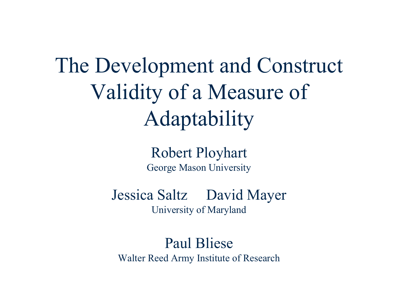The Development and Construct Validity of a Measure of Adaptability

> Robert Ployhart George Mason University

Jessica Saltz David Mayer University of Maryland

Paul BlieseWalter Reed Army Institute of Research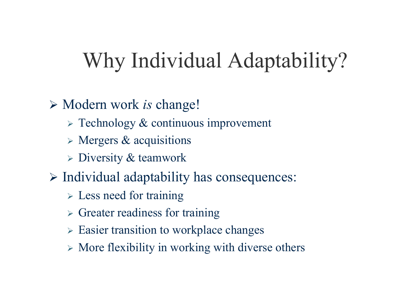# Why Individual Adaptability?

- ¾ Modern work *is* change!
	- ¾ Technology & continuous improvement
	- $\triangleright$  Mergers & acquisitions
	- $\triangleright$  Diversity & teamwork
- ¾ Individual adaptability has consequences:
	- $\triangleright$  Less need for training
	- $\triangleright$  Greater readiness for training
	- ¾ Easier transition to workplace changes
	- $\triangleright$  More flexibility in working with diverse others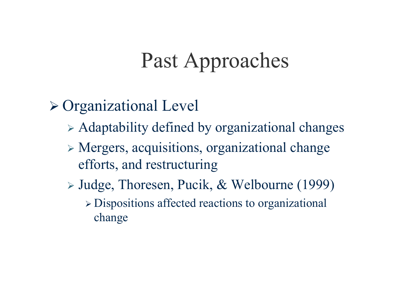# Past Approaches

#### ¾ Organizational Level

- ¾ Adaptability defined by organizational changes
- ¾ Mergers, acquisitions, organizational change efforts, and restructuring
- ¾ Judge, Thoresen, Pucik, & Welbourne (1999) ¾ Dispositions affected reactions to organizational change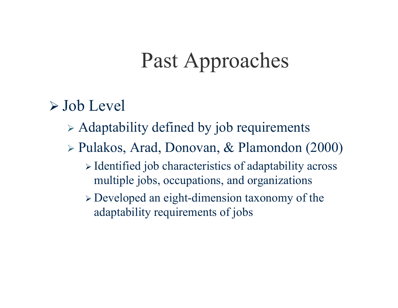# Past Approaches

#### $\triangleright$  Job Level

- $\triangleright$  Adaptability defined by job requirements
- ¾ Pulakos, Arad, Donovan, & Plamondon (2000)
	- ¾ Identified job characteristics of adaptability across multiple jobs, occupations, and organizations
	- ¾ Developed an eight-dimension taxonomy of the adaptability requirements of jobs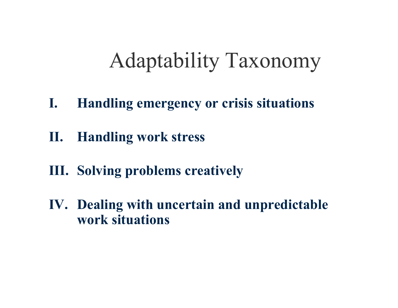# Adaptability Taxonomy

- **I. Handling emergency or crisis situations**
- **II. Handling work stress**
- **III. Solving problems creatively**
- **IV. Dealing with uncertain and unpredictable work situations**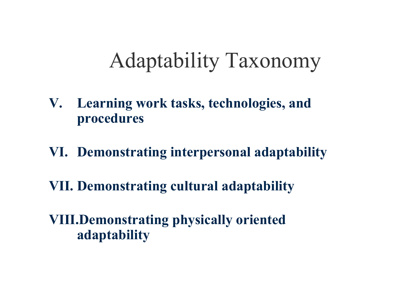# Adaptability Taxonomy

- **V. Learning work tasks, technologies, and procedures**
- **VI. Demonstrating interpersonal adaptability**
- **VII. Demonstrating cultural adaptability**

**VIII.Demonstrating physically oriented adaptability**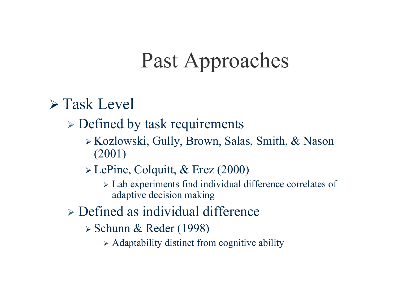# Past Approaches

#### $\triangleright$  Task Level

 $\triangleright$  Defined by task requirements

¾ Kozlowski, Gully, Brown, Salas, Smith, & Nason (2001)

¾ LePine, Colquitt, & Erez (2000)

¾ Lab experiments find individual difference correlates of adaptive decision making

 $\triangleright$  Defined as individual difference

¾ Schunn & Reder (1998)

¾ Adaptability distinct from cognitive ability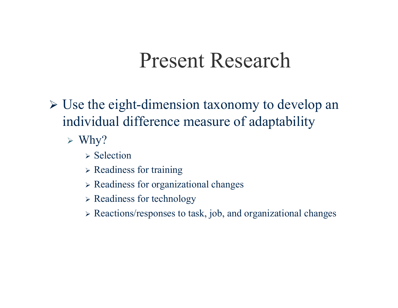#### Present Research

- ¾ Use the eight-dimension taxonomy to develop an individual difference measure of adaptability
	- $\triangleright$  Why?
		- $\triangleright$  Selection
		- $\triangleright$  Readiness for training
		- ¾ Readiness for organizational changes
		- ¾ Readiness for technology
		- ¾ Reactions/responses to task, job, and organizational changes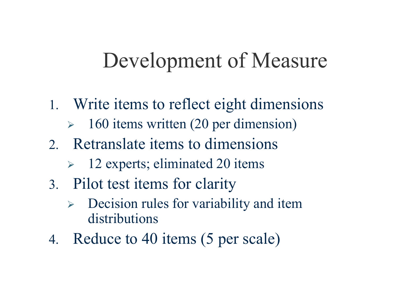### Development of Measure

- 1. Write items to reflect eight dimensions
	- ¾160 items written (20 per dimension)
- 2. Retranslate items to dimensions
	- ¾ 12 experts; eliminated 20 items
- 3. Pilot test items for clarity
	- ¾ Decision rules for variability and item distributions
- 4. Reduce to 40 items (5 per scale)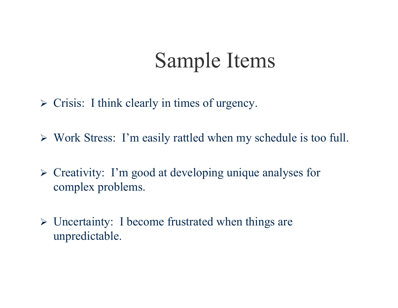# Sample Items

- $\triangleright$  Crisis: I think clearly in times of urgency.
- ¾ Work Stress: I'm easily rattled when my schedule is too full.
- ¾ Creativity: I'm good at developing unique analyses for complex problems.
- ¾ Uncertainty: I become frustrated when things are unpredictable.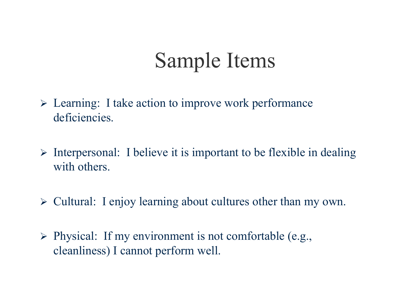# Sample Items

- ¾ Learning: I take action to improve work performance deficiencies.
- $\triangleright$  Interpersonal: I believe it is important to be flexible in dealing with others.
- ¾ Cultural: I enjoy learning about cultures other than my own.
- ¾ Physical: If my environment is not comfortable (e.g., cleanliness) I cannot perform well.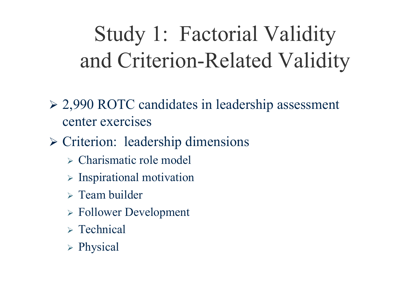# Study 1: Factorial Validity and Criterion-Related Validity

- ¾ 2,990 ROTC candidates in leadership assessment center exercises
- ¾ Criterion: leadership dimensions
	- ¾ Charismatic role model
	- $\triangleright$  Inspirational motivation
	- $\triangleright$  Team builder
	- ¾ Follower Development
	- $\triangleright$  Technical
	- ¾ Physical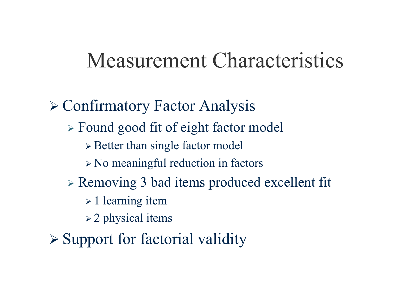#### Measurement Characteristics

¾ Confirmatory Factor Analysis ¾ Found good fit of eight factor model ¾ Better than single factor model ¾ No meaningful reduction in factors ¾ Removing 3 bad items produced excellent fit  $\geq 1$  learning item  $\geq$  2 physical items  $\triangleright$  Support for factorial validity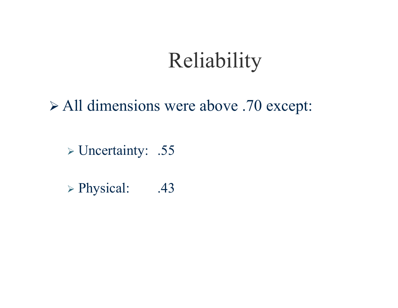# Reliability

¾ All dimensions were above .70 except:

¾ Uncertainty: .55

¾ Physical: .43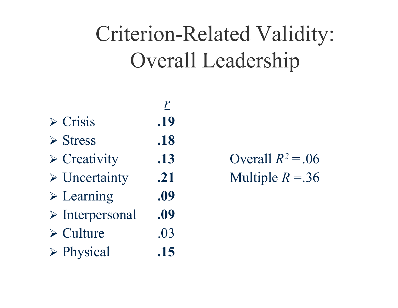# Criterion-Related Validity: Overall Leadership

 $\triangleright$  Crisis .19

*r*

- $\triangleright$  Stress .18
- ¾ Creativity **.13** Overall
- ¾ Uncertainty **.21** Multiple
- ¾ Learning **.09**
- ¾ Interpersonal **.09**
- $\triangleright$  Culture .03
- ¾ Physical **.15**

 $R^2 = .06$  $R = 0.36$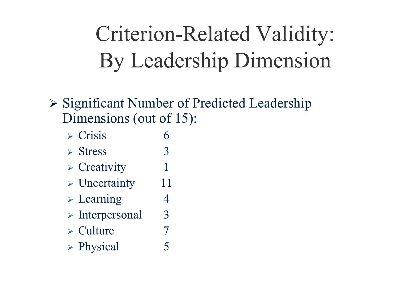# Criterion-Related Validity: By Leadership Dimension

- ¾ Significant Number of Predicted Leadership Dimensions (out of 15):
	- $\triangleright$  Crisis 6
	- $\triangleright$  Stress 3
	- $\triangleright$  Creativity 1
	- $\triangleright$  Uncertainty 11
	- $\triangleright$  Learning 4
	- $\triangleright$  Interpersonal 3
	- $\triangleright$  Culture 7
	- ¾ Physical 5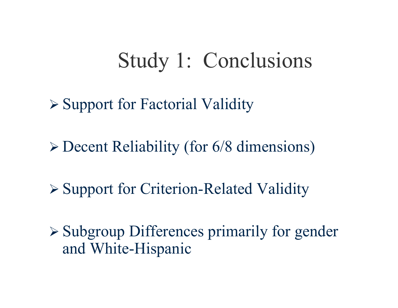# Study 1: Conclusions

¾ Support for Factorial Validity

¾ Decent Reliability (for 6/8 dimensions)

¾ Support for Criterion-Related Validity

¾ Subgroup Differences primarily for gender and White-Hispanic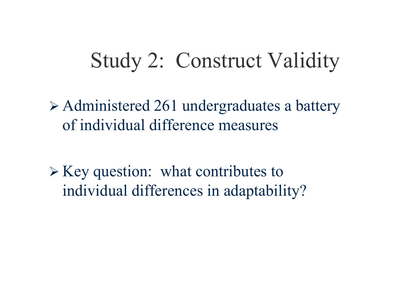## Study 2: Construct Validity

¾ Administered 261 undergraduates a battery of individual difference measures

 $\triangleright$  Key question: what contributes to individual differences in adaptability?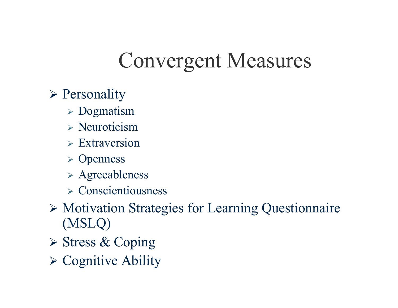# Convergent Measures

- ¾ Personality
	- $\triangleright$  Dogmatism
	- $\triangleright$  Neuroticism
	- $\triangleright$  Extraversion
	- ¾ Openness
	- ¾ Agreeableness
	- $\triangleright$  Conscientiousness
- ¾ Motivation Strategies for Learning Questionnaire (MSLQ)
- ¾ Stress & Coping
- ¾ Cognitive Ability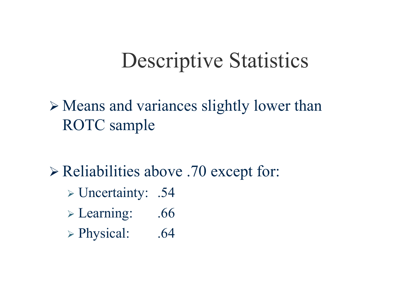# Descriptive Statistics

¾ Means and variances slightly lower than ROTC sample

- ¾ Reliabilities above .70 except for:
	- ¾ Uncertainty: .54
	- ¾ Learning: .66
	- ¾ Physical: .64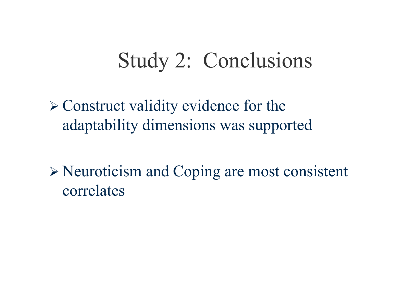# Study 2: Conclusions

 $\triangleright$  Construct validity evidence for the adaptability dimensions was supported

¾ Neuroticism and Coping are most consistent correlates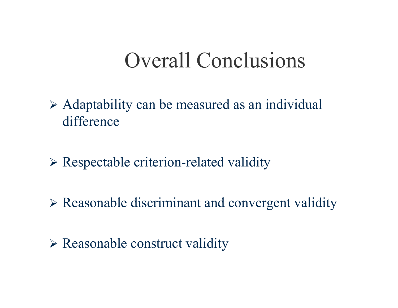### Overall Conclusions

- ¾ Adaptability can be measured as an individual difference
- ¾ Respectable criterion-related validity
- ¾ Reasonable discriminant and convergent validity
- ¾ Reasonable construct validity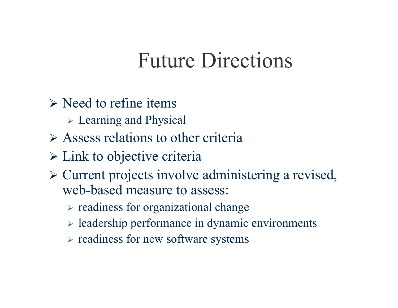### Future Directions

- $\triangleright$  Need to refine items
	- ¾ Learning and Physical
- $\triangleright$  Assess relations to other criteria
- $\triangleright$  Link to objective criteria
- ¾ Current projects involve administering a revised, web-based measure to assess:
	- ¾ readiness for organizational change
	- ¾ leadership performance in dynamic environments
	- $\triangleright$  readiness for new software systems